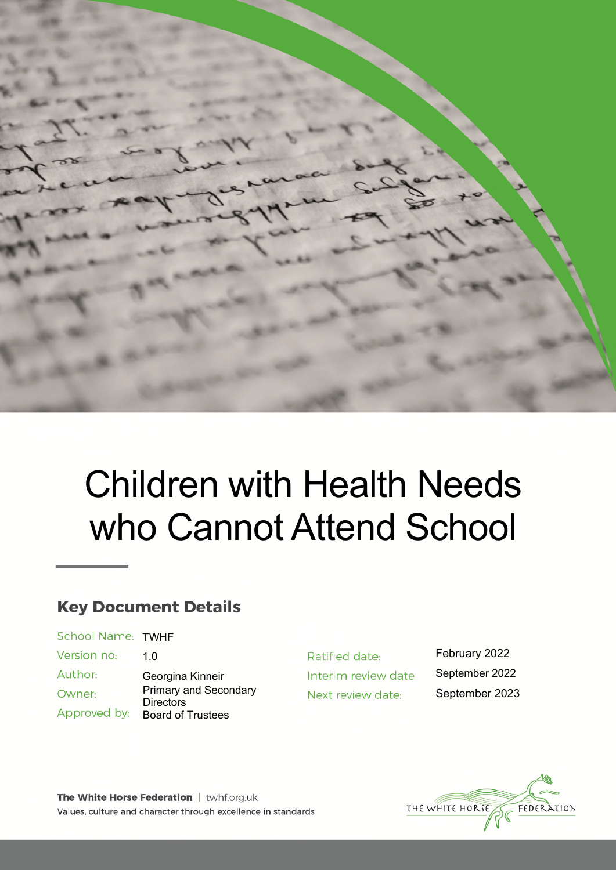

# Children with Health Needs who Cannot Attend School

# **Key Document Details**

| School Name: TWHF |                                                  |
|-------------------|--------------------------------------------------|
| Version no:       | 1.0                                              |
| Author:           | Georgina Kinneir                                 |
| Owner:            | <b>Primary and Secondary</b><br><b>Directors</b> |
| Approved by:      | <b>Board of Trustees</b>                         |

Ratified date: Interim review date Next review date:

February 2022 September 2022 September 2023



The White Horse Federation | twhf.org.uk Values, culture and character through excellence in standards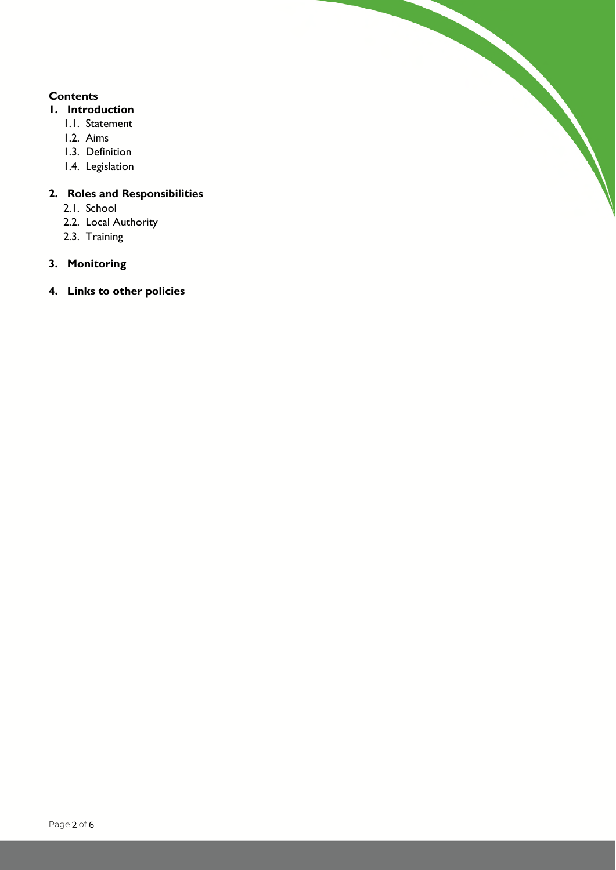#### **Contents**

- **1. Introduction** 
	- 1.1. Statement
	- 1.2. Aims
	- 1.3. Definition
	- 1.4. Legislation

## **2. Roles and Responsibilities**

- 2.1. School
- 2.2. Local Authority
- 2.3. Training

## **3. Monitoring**

**4. Links to other policies**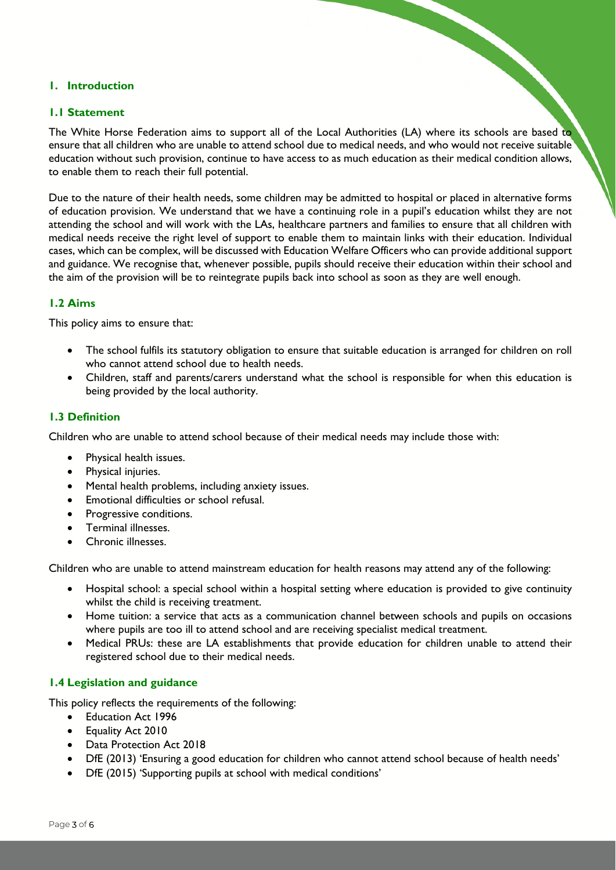#### **1. Introduction**

#### **1.1 Statement**

The White Horse Federation aims to support all of the Local Authorities (LA) where its schools are based to ensure that all children who are unable to attend school due to medical needs, and who would not receive suitable education without such provision, continue to have access to as much education as their medical condition allows, to enable them to reach their full potential.

Due to the nature of their health needs, some children may be admitted to hospital or placed in alternative forms of education provision. We understand that we have a continuing role in a pupil's education whilst they are not attending the school and will work with the LAs, healthcare partners and families to ensure that all children with medical needs receive the right level of support to enable them to maintain links with their education. Individual cases, which can be complex, will be discussed with Education Welfare Officers who can provide additional support and guidance. We recognise that, whenever possible, pupils should receive their education within their school and the aim of the provision will be to reintegrate pupils back into school as soon as they are well enough.

#### **1.2 Aims**

This policy aims to ensure that:

- The school fulfils its statutory obligation to ensure that suitable education is arranged for children on roll who cannot attend school due to health needs.
- Children, staff and parents/carers understand what the school is responsible for when this education is being provided by the local authority.

#### **1.3 Definition**

Children who are unable to attend school because of their medical needs may include those with:

- Physical health issues.
- Physical injuries.
- Mental health problems, including anxiety issues.
- Emotional difficulties or school refusal.
- Progressive conditions.
- Terminal illnesses.
- Chronic illnesses.

Children who are unable to attend mainstream education for health reasons may attend any of the following:

- Hospital school: a special school within a hospital setting where education is provided to give continuity whilst the child is receiving treatment.
- Home tuition: a service that acts as a communication channel between schools and pupils on occasions where pupils are too ill to attend school and are receiving specialist medical treatment.
- Medical PRUs: these are LA establishments that provide education for children unable to attend their registered school due to their medical needs.

#### **1.4 Legislation and guidance**

This policy reflects the requirements of the following:

- Education Act 1996
- **Equality Act 2010**
- Data Protection Act 2018
- DfE (2013) 'Ensuring a good education for children who cannot attend school because of health needs'
- DfE (2015) 'Supporting pupils at school with medical conditions'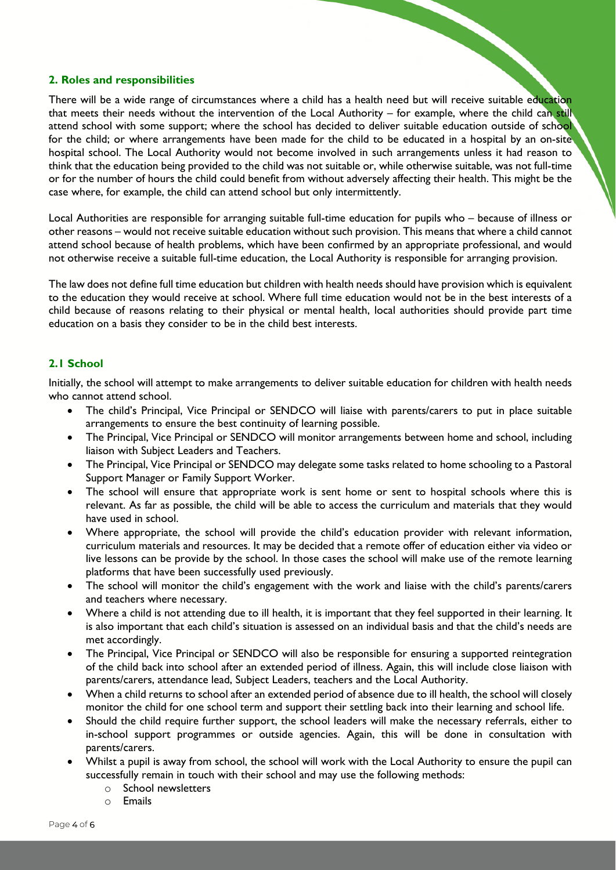#### **2. Roles and responsibilities**

There will be a wide range of circumstances where a child has a health need but will receive suitable education that meets their needs without the intervention of the Local Authority – for example, where the child can still attend school with some support; where the school has decided to deliver suitable education outside of school for the child; or where arrangements have been made for the child to be educated in a hospital by an on-site hospital school. The Local Authority would not become involved in such arrangements unless it had reason to think that the education being provided to the child was not suitable or, while otherwise suitable, was not full-time or for the number of hours the child could benefit from without adversely affecting their health. This might be the case where, for example, the child can attend school but only intermittently.

Local Authorities are responsible for arranging suitable full-time education for pupils who – because of illness or other reasons – would not receive suitable education without such provision. This means that where a child cannot attend school because of health problems, which have been confirmed by an appropriate professional, and would not otherwise receive a suitable full-time education, the Local Authority is responsible for arranging provision.

The law does not define full time education but children with health needs should have provision which is equivalent to the education they would receive at school. Where full time education would not be in the best interests of a child because of reasons relating to their physical or mental health, local authorities should provide part time education on a basis they consider to be in the child best interests.

#### **2.1 School**

Initially, the school will attempt to make arrangements to deliver suitable education for children with health needs who cannot attend school.

- The child's Principal, Vice Principal or SENDCO will liaise with parents/carers to put in place suitable arrangements to ensure the best continuity of learning possible.
- The Principal, Vice Principal or SENDCO will monitor arrangements between home and school, including liaison with Subject Leaders and Teachers.
- The Principal, Vice Principal or SENDCO may delegate some tasks related to home schooling to a Pastoral Support Manager or Family Support Worker.
- The school will ensure that appropriate work is sent home or sent to hospital schools where this is relevant. As far as possible, the child will be able to access the curriculum and materials that they would have used in school.
- Where appropriate, the school will provide the child's education provider with relevant information, curriculum materials and resources. It may be decided that a remote offer of education either via video or live lessons can be provide by the school. In those cases the school will make use of the remote learning platforms that have been successfully used previously.
- The school will monitor the child's engagement with the work and liaise with the child's parents/carers and teachers where necessary.
- Where a child is not attending due to ill health, it is important that they feel supported in their learning. It is also important that each child's situation is assessed on an individual basis and that the child's needs are met accordingly.
- The Principal, Vice Principal or SENDCO will also be responsible for ensuring a supported reintegration of the child back into school after an extended period of illness. Again, this will include close liaison with parents/carers, attendance lead, Subject Leaders, teachers and the Local Authority.
- When a child returns to school after an extended period of absence due to ill health, the school will closely monitor the child for one school term and support their settling back into their learning and school life.
- Should the child require further support, the school leaders will make the necessary referrals, either to in-school support programmes or outside agencies. Again, this will be done in consultation with parents/carers.
- Whilst a pupil is away from school, the school will work with the Local Authority to ensure the pupil can successfully remain in touch with their school and may use the following methods:
	- o School newsletters
	- o Emails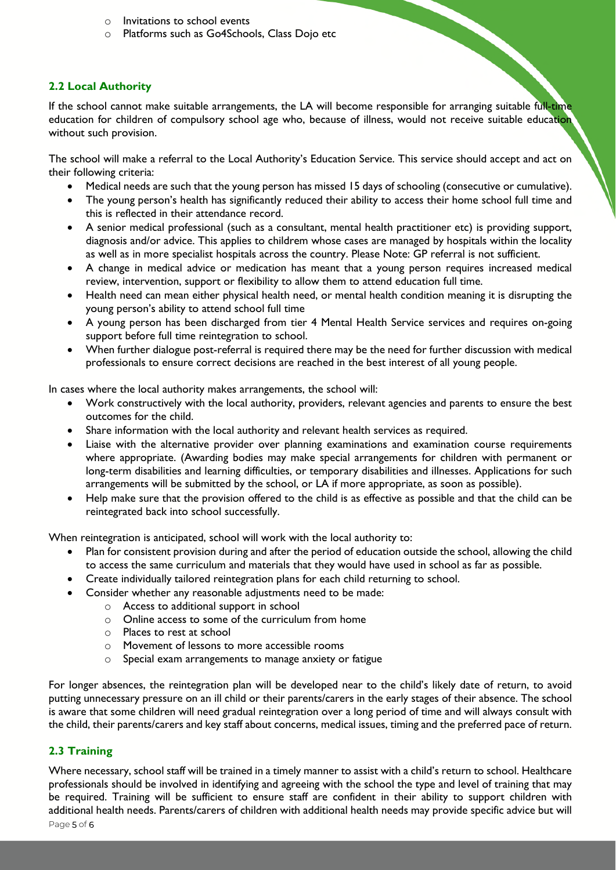- o Invitations to school events
- o Platforms such as Go4Schools, Class Dojo etc

#### **2.2 Local Authority**

If the school cannot make suitable arrangements, the LA will become responsible for arranging suitable full-time education for children of compulsory school age who, because of illness, would not receive suitable education without such provision.

The school will make a referral to the Local Authority's Education Service. This service should accept and act on their following criteria:

- Medical needs are such that the young person has missed 15 days of schooling (consecutive or cumulative).
- The young person's health has significantly reduced their ability to access their home school full time and this is reflected in their attendance record.
- A senior medical professional (such as a consultant, mental health practitioner etc) is providing support, diagnosis and/or advice. This applies to childrem whose cases are managed by hospitals within the locality as well as in more specialist hospitals across the country. Please Note: GP referral is not sufficient.
- A change in medical advice or medication has meant that a young person requires increased medical review, intervention, support or flexibility to allow them to attend education full time.
- Health need can mean either physical health need, or mental health condition meaning it is disrupting the young person's ability to attend school full time
- A young person has been discharged from tier 4 Mental Health Service services and requires on-going support before full time reintegration to school.
- When further dialogue post-referral is required there may be the need for further discussion with medical professionals to ensure correct decisions are reached in the best interest of all young people.

In cases where the local authority makes arrangements, the school will:

- Work constructively with the local authority, providers, relevant agencies and parents to ensure the best outcomes for the child.
- Share information with the local authority and relevant health services as required.
- Liaise with the alternative provider over planning examinations and examination course requirements where appropriate. (Awarding bodies may make special arrangements for children with permanent or long-term disabilities and learning difficulties, or temporary disabilities and illnesses. Applications for such arrangements will be submitted by the school, or LA if more appropriate, as soon as possible).
- Help make sure that the provision offered to the child is as effective as possible and that the child can be reintegrated back into school successfully.

When reintegration is anticipated, school will work with the local authority to:

- Plan for consistent provision during and after the period of education outside the school, allowing the child to access the same curriculum and materials that they would have used in school as far as possible.
- Create individually tailored reintegration plans for each child returning to school.
- Consider whether any reasonable adjustments need to be made:
	- o Access to additional support in school
	- o Online access to some of the curriculum from home
	- o Places to rest at school
	- o Movement of lessons to more accessible rooms
	- o Special exam arrangements to manage anxiety or fatigue

For longer absences, the reintegration plan will be developed near to the child's likely date of return, to avoid putting unnecessary pressure on an ill child or their parents/carers in the early stages of their absence. The school is aware that some children will need gradual reintegration over a long period of time and will always consult with the child, their parents/carers and key staff about concerns, medical issues, timing and the preferred pace of return.

#### **2.3 Training**

Where necessary, school staff will be trained in a timely manner to assist with a child's return to school. Healthcare professionals should be involved in identifying and agreeing with the school the type and level of training that may be required. Training will be sufficient to ensure staff are confident in their ability to support children with additional health needs. Parents/carers of children with additional health needs may provide specific advice but will